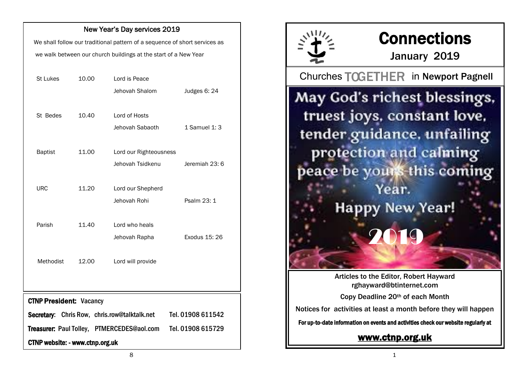#### New Year's Day services 2019

We shall follow our traditional pattern of a sequence of short services as we walk between our church buildings at the start of a New Year

| <b>St Lukes</b> | 10.00 | Lord is Peace          |                |
|-----------------|-------|------------------------|----------------|
|                 |       | Jehovah Shalom         | Judges 6: 24   |
|                 |       |                        |                |
| St Bedes        | 10.40 | Lord of Hosts          |                |
|                 |       | Jehovah Sabaoth        | 1 Samuel 1: 3  |
|                 |       |                        |                |
| <b>Baptist</b>  | 11.00 | Lord our Righteousness |                |
|                 |       | Jehovah Tsidkenu       | Jeremiah 23: 6 |
|                 |       |                        |                |
| <b>URC</b>      | 11.20 | Lord our Shepherd      |                |
|                 |       | Jehovah Rohi           | Psalm 23: 1    |
|                 |       |                        |                |
| Parish          | 11.40 | Lord who heals         |                |
|                 |       | Jehovah Rapha          | Exodus 15: 26  |
|                 |       |                        |                |
| Methodist       | 12.00 | Lord will provide      |                |
|                 |       |                        |                |
|                 |       |                        |                |

CTNP President: Vacancy

Secretary: Chris Row, chris.row@talktalk.net Tel. 01908 611542

Treasurer: Paul Tolley, PTMERCEDES@aol.com Tel. 01908 615729

CTNP website: - www.ctnp.org.uk



# **Connections**

January 2019

Churches TOGETHER in Newport Pagnell

May God's richest blessings, truest joys, constant love, tender guidance, unfailing protection and calming peace be yours this coming Year. **Happy New Year!** 2019

> Articles to the Editor, Robert Hayward rghayward@btinternet.com

Copy Deadline 20th of each Month

Notices for activities at least a month before they will happen

For up-to-date information on events and activities check our website regularly at

### [www.ctnp.org.uk](http://www.ctnp.org.uk)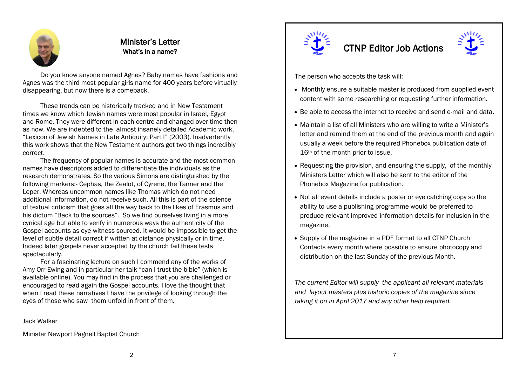

#### Minister's Letter What's in a name?

Do you know anyone named Agnes? Baby names have fashions and Agnes was the third most popular girls name for 400 years before virtually disappearing, but now there is a comeback.

These trends can be historically tracked and in New Testament times we know which Jewish names were most popular in Israel, Egypt and Rome. They were different in each centre and changed over time then as now. We are indebted to the almost insanely detailed Academic work, "Lexicon of Jewish Names in Late Antiquity: Part I" (2003). Inadvertently this work shows that the New Testament authors get two things incredibly correct.

The frequency of popular names is accurate and the most common names have descriptors added to differentiate the individuals as the research demonstrates. So the various Simons are distinguished by the following markers:- Cephas, the Zealot, of Cyrene, the Tanner and the Leper. Whereas uncommon names like Thomas which do not need additional information, do not receive such. All this is part of the science of textual criticism that goes all the way back to the likes of Erasmus and his dictum "Back to the sources". So we find ourselves living in a more cynical age but able to verify in numerous ways the authenticity of the Gospel accounts as eye witness sourced. It would be impossible to get the level of subtle detail correct if written at distance physically or in time. Indeed later gospels never accepted by the church fail these tests spectacularly.

For a fascinating lecture on such I commend any of the works of Amy Orr-Ewing and in particular her talk "can I trust the bible" (which is available online). You may find in the process that you are challenged or encouraged to read again the Gospel accounts. I love the thought that when I read these narratives I have the privilege of looking through the eyes of those who saw them unfold in front of them.

Jack Walker

Minister Newport Pagnell Baptist Church



### CTNP Editor Job Actions



The person who accepts the task will:

- Monthly ensure a suitable master is produced from supplied event content with some researching or requesting further information.
- Be able to access the internet to receive and send e-mail and data.
- Maintain a list of all Ministers who are willing to write a Minister's letter and remind them at the end of the previous month and again usually a week before the required Phonebox publication date of 16<sup>th</sup> of the month prior to issue.
- Requesting the provision, and ensuring the supply, of the monthly Ministers Letter which will also be sent to the editor of the Phonebox Magazine for publication.
- Not all event details include a poster or eye catching copy so the ability to use a publishing programme would be preferred to produce relevant improved information details for inclusion in the magazine.
- Supply of the magazine in a PDF format to all CTNP Church Contacts every month where possible to ensure photocopy and distribution on the last Sunday of the previous Month.

*The current Editor will supply the applicant all relevant materials and layout masters plus historic copies of the magazine since taking it on in April 2017 and any other help required.*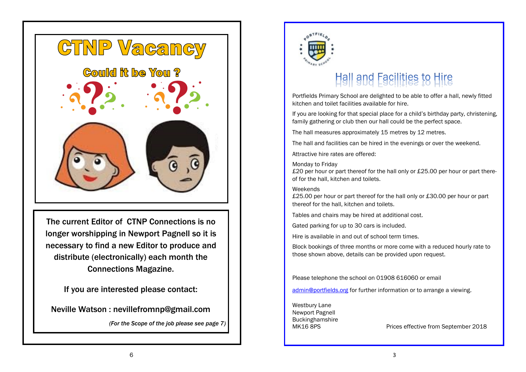

The current Editor of CTNP Connections is no longer worshipping in Newport Pagnell so it is necessary to find a new Editor to produce and distribute (electronically) each month the Connections Magazine.

If you are interested please contact:

Neville Watson : nevillefromnp@gmail.com

*(For the Scope of the job please see page 7)*



## Hall and Facilities to Hire

Portfields Primary School are delighted to be able to offer a hall, newly fitted kitchen and toilet facilities available for hire.

If you are looking for that special place for a child's birthday party, christening, family gathering or club then our hall could be the perfect space.

The hall measures approximately 15 metres by 12 metres.

The hall and facilities can be hired in the evenings or over the weekend.

Attractive hire rates are offered:

Monday to Friday

£20 per hour or part thereof for the hall only or £25.00 per hour or part thereof for the hall, kitchen and toilets.

#### Weekends

£25.00 per hour or part thereof for the hall only or £30.00 per hour or part thereof for the hall, kitchen and toilets.

Tables and chairs may be hired at additional cost.

Gated parking for up to 30 cars is included.

Hire is available in and out of school term times.

Block bookings of three months or more come with a reduced hourly rate to those shown above, details can be provided upon request.

Please telephone the school on 01908 616060 or email

[admin@portfields.org](mailto:admin@portfields.org) for further information or to arrange a viewing.

Westbury Lane Newport Pagnell **Buckinghamshire** 

MK16 8PS Prices effective from September 2018